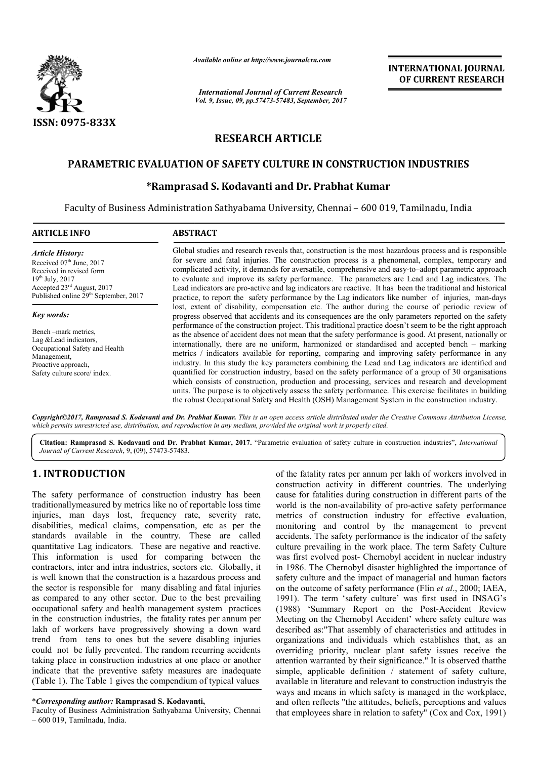

*Available online at http://www.journal http://www.journalcra.com*

*International Journal of Current Research Vol. 9, Issue, 09, pp.57473-57483, September, 2017* **INTERNATIONAL JOURNAL OF CURRENT RESEARCH** 

# **RESEARCH ARTICLE**

# **PARAMETRIC EVALUATION OF SAFETY CULTURE IN CONSTRUCTION INDUSTRIES PARAMETRIC EVALUATION OF**

# **\*Ramprasad Ramprasad S. Kodavanti and Dr. Prabhat Kumar**

Faculty of Business Administration Sathyabama University, Chennai – 600 019, Tamilnadu, India

| <b>ARTICLE INFO</b>                                                                                                                                                                                                | <b>ABSTRACT</b>                                                                                                                                                                                                                                                                                                                                                                                                                                                                                                                                                                                                                                                                                                                                                                                                                                                                                                                                                                                                                                                                                                                                                         |  |  |
|--------------------------------------------------------------------------------------------------------------------------------------------------------------------------------------------------------------------|-------------------------------------------------------------------------------------------------------------------------------------------------------------------------------------------------------------------------------------------------------------------------------------------------------------------------------------------------------------------------------------------------------------------------------------------------------------------------------------------------------------------------------------------------------------------------------------------------------------------------------------------------------------------------------------------------------------------------------------------------------------------------------------------------------------------------------------------------------------------------------------------------------------------------------------------------------------------------------------------------------------------------------------------------------------------------------------------------------------------------------------------------------------------------|--|--|
| <b>Article History:</b><br>Received 07 <sup>th</sup> June, 2017<br>Received in revised form<br>$19^{th}$ July, 2017<br>Accepted $23^{\text{rd}}$ August, 2017<br>Published online 29 <sup>th</sup> September, 2017 | Global studies and research reveals that, construction is the most hazardous process and is responsible<br>for severe and fatal injuries. The construction process is a phenomenal, complex, temporary and<br>complicated activity, it demands for aversatile, comprehensive and easy-to-adopt parametric approach<br>to evaluate and improve its safety performance. The parameters are Lead and Lag indicators. The<br>Lead indicators are pro-active and lag indicators are reactive. It has been the traditional and historical<br>practice, to report the safety performance by the Lag indicators like number of injuries, man-days                                                                                                                                                                                                                                                                                                                                                                                                                                                                                                                               |  |  |
| Key words:<br>Bench – mark metrics.<br>Lag & Lead indicators,<br>Occupational Safety and Health<br>Management,<br>Proactive approach,<br>Safety culture score/index.                                               | lost, extent of disability, compensation etc. The author during the course of periodic review of<br>progress observed that accidents and its consequences are the only parameters reported on the safety<br>performance of the construction project. This traditional practice doesn't seem to be the right approach<br>as the absence of accident does not mean that the safety performance is good. At present, nationally or<br>internationally, there are no uniform, harmonized or standardised and accepted bench – marking<br>metrics / indicators available for reporting, comparing and improving safety performance in any<br>industry. In this study the key parameters combining the Lead and Lag indicators are identified and<br>quantified for construction industry, based on the safety performance of a group of 30 organisations<br>which consists of construction, production and processing, services and research and development<br>units. The purpose is to objectively assess the safety performance. This exercise facilitates in building<br>the robust Occupational Safety and Health (OSH) Management System in the construction industry. |  |  |

Copyright©2017, Ramprasad S. Kodavanti and Dr. Prabhat Kumar. This is an open access article distributed under the Creative Commons Attribution License, which permits unrestricted use, distribution, and reproduction in any medium, provided the original work is properly cited.

Citation: Ramprasad S. Kodavanti and Dr. Prabhat Kumar, 2017. "Parametric evaluation of safety culture in construction industries", *International Journal of Current Research*, 9, (09), 57473-57483.

# **1. INTRODUCTION**

The safety performance of construction industry has been traditionallymeasured by metrics like no of reportable loss time injuries, man days lost, frequency rate, severity rate, disabilities, medical claims, compensation, etc as per the standards available in the country. These are called quantitative Lag indicators. These are negative and reactive. This information is used for comparing between the contractors, inter and intra industries, sectors etc. Globally, it is well known that the construction is a hazardous process and the sector is responsible for many disabling and fatal injuries as compared to any other sector. Due to the best prevailing occupational safety and health management system practices in the construction industries, the fatality rates per annum per lakh of workers have progressively showing a down ward trend from tens to ones but the severe disabling injuries could not be fully prevented. The random recurring accidents taking place in construction industries at one place or another indicate that the preventive safety measures are inadequate (Table 1). The Table 1 gives the compendium of typical values

of the fatality rates per annum per lakh of workers involved in construction activity in different countries. The underlying cause for fatalities during construction in different parts of the world is the non-availability of pro-active safety performance metrics of construction industry for effective evaluation, monitoring and control by the management to prevent accidents. The safety performance is the indicator of the safety culture prevailing in the work place. The term Safety Culture was first evolved post- Chernobyl accident in nuclear industry in 1986. The Chernobyl disaster highlighted the importance of safety culture and the impact of managerial and human factors safety culture and the impact of managerial and human factors<br>on the outcome of safety performance (Flin *et al.*, 2000; IAEA, 1991). The term 'safety culture' was first used in INSAG's 1991). The term 'safety culture' was first used in INSAG's (1988) 'Summary Report on the Post-Accident Review Meeting on the Chernobyl Accident' where safety culture was described as:"That assembly of characteristics and attitudes in organizations and individuals which establishes that, as an overriding priority, nuclear plant safety issues receive the described as:"That assembly of characteristics and attitudes in organizations and individuals which establishes that, as an overriding priority, nuclear plant safety issues receive the attention warranted by their signific simple, applicable definition / statement of safety culture, available in literature and relevant to construction industryis the ways and means in which safety is managed in the workplace, and often reflects "the attitudes, beliefs, perceptions and values that employees share in relation to safety" (Cox and Cox, 1991) the fatality rates per annum per lakh of workers involved in astruction activity in different countries. The underlying use for fatalities during construction in different parts of the rld is the non-availability of pro-ac etrics of construction industry for effective evaluation, onitoring and control by the management to prevent ccidents. The safety performance is the indicator of the safety liture prevailing in the work place. The term Saf

<sup>\*</sup>*Corresponding author:* **Ramprasad S. Kodavanti,**

Faculty of Business Administration Sathyabama University, Chennai – 600 019, Tamilnadu, India.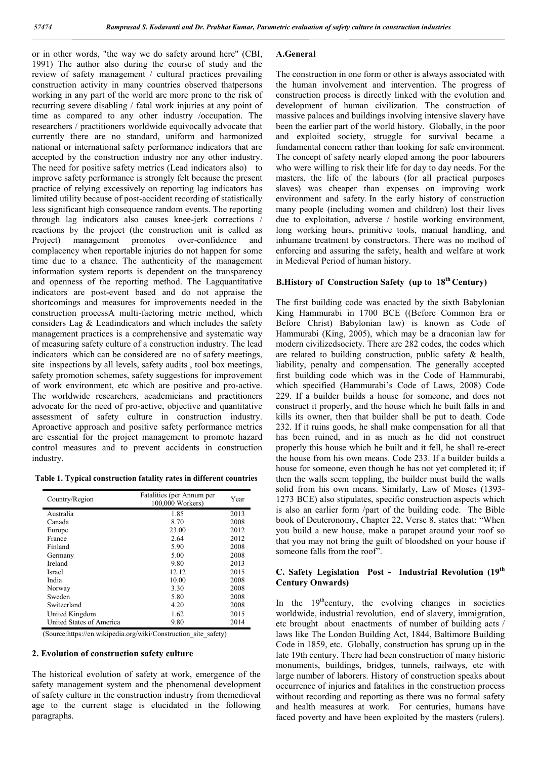or in other words, "the way we do safety around here" (CBI, 1991) The author also during the course of study and the review of safety management / cultural practices prevailing construction activity in many countries observed thatpersons working in any part of the world are more prone to the risk of recurring severe disabling / fatal work injuries at any point of time as compared to any other industry /occupation. The researchers / practitioners worldwide equivocally advocate that currently there are no standard, uniform and harmonized national or international safety performance indicators that are accepted by the construction industry nor any other industry. The need for positive safety metrics (Lead indicators also) to improve safety performance is strongly felt because the present practice of relying excessively on reporting lag indicators has limited utility because of post-accident recording of statistically less significant high consequence random events. The reporting through lag indicators also causes knee-jerk corrections / reactions by the project (the construction unit is called as Project) management promotes over-confidence and complacency when reportable injuries do not happen for some time due to a chance. The authenticity of the management information system reports is dependent on the transparency and openness of the reporting method. The Lagquantitative indicators are post-event based and do not appraise the shortcomings and measures for improvements needed in the construction processA multi-factoring metric method, which considers Lag & Leadindicators and which includes the safety management practices is a comprehensive and systematic way of measuring safety culture of a construction industry. The lead indicators which can be considered are no of safety meetings, site inspections by all levels, safety audits , tool box meetings, safety promotion schemes, safety suggestions for improvement of work environment, etc which are positive and pro-active. The worldwide researchers, academicians and practitioners advocate for the need of pro-active, objective and quantitative assessment of safety culture in construction industry. Aproactive approach and positive safety performance metrics are essential for the project management to promote hazard control measures and to prevent accidents in construction industry.

**Table 1. Typical construction fatality rates in different countries**

| Country/Region           | Fatalities (per Annum per<br>100,000 Workers) | Year |
|--------------------------|-----------------------------------------------|------|
| Australia                | 1.85                                          | 2013 |
| Canada                   | 8.70                                          | 2008 |
| Europe                   | 23.00                                         | 2012 |
| France                   | 2.64                                          | 2012 |
| Finland                  | 5.90                                          | 2008 |
| Germany                  | 5.00                                          | 2008 |
| Ireland                  | 9.80                                          | 2013 |
| Israel                   | 12.12                                         | 2015 |
| India                    | 10.00                                         | 2008 |
| Norway                   | 3.30                                          | 2008 |
| Sweden                   | 5.80                                          | 2008 |
| Switzerland              | 4.20                                          | 2008 |
| United Kingdom           | 1.62                                          | 2015 |
| United States of America | 9.80                                          | 2014 |

(Source:https://en.wikipedia.org/wiki/Construction\_site\_safety)

## **2. Evolution of construction safety culture**

The historical evolution of safety at work, emergence of the safety management system and the phenomenal development of safety culture in the construction industry from themedieval age to the current stage is elucidated in the following paragraphs.

#### **A.General**

The construction in one form or other is always associated with the human involvement and intervention. The progress of construction process is directly linked with the evolution and development of human civilization. The construction of massive palaces and buildings involving intensive slavery have been the earlier part of the world history. Globally, in the poor and exploited society, struggle for survival became a fundamental concern rather than looking for safe environment. The concept of safety nearly eloped among the poor labourers who were willing to risk their life for day to day needs. For the masters, the life of the labours (for all practical purposes slaves) was cheaper than expenses on improving work environment and safety. In the early history of construction many people (including women and children) lost their lives due to exploitation, adverse / hostile working environment, long working hours, primitive tools, manual handling, and inhumane treatment by constructors. There was no method of enforcing and assuring the safety, health and welfare at work in Medieval Period of human history.

## **B.History of Construction Safety (up to 18th Century)**

The first building code was enacted by the sixth Babylonian King Hammurabi in 1700 BCE ((Before Common Era or Before Christ) Babylonian law) is known as Code of Hammurabi (King, 2005), which may be a draconian law for modern civilizedsociety. There are 282 codes, the codes which are related to building construction, public safety & health, liability, penalty and compensation. The generally accepted first building code which was in the Code of Hammurabi, which specified (Hammurabi's Code of Laws, 2008) Code 229. If a builder builds a house for someone, and does not construct it properly, and the house which he built falls in and kills its owner, then that builder shall be put to death. Code 232. If it ruins goods, he shall make compensation for all that has been ruined, and in as much as he did not construct properly this house which he built and it fell, he shall re-erect the house from his own means. Code 233. If a builder builds a house for someone, even though he has not yet completed it; if then the walls seem toppling, the builder must build the walls solid from his own means. Similarly, Law of Moses (1393- 1273 BCE) also stipulates, specific construction aspects which is also an earlier form /part of the building code. The Bible book of Deuteronomy, Chapter 22, Verse 8, states that: "When you build a new house, make a parapet around your roof so that you may not bring the guilt of bloodshed on your house if someone falls from the roof".

### **C. Safety Legislation Post - Industrial Revolution (19th Century Onwards)**

In the  $19<sup>th</sup>$ century, the evolving changes in societies worldwide, industrial revolution, end of slavery, immigration, etc brought about enactments of number of building acts / laws like The London Building Act, 1844, Baltimore Building Code in 1859, etc. Globally, construction has sprung up in the late 19th century. There had been construction of many historic monuments, buildings, bridges, tunnels, railways, etc with large number of laborers. History of construction speaks about occurrence of injuries and fatalities in the construction process without recording and reporting as there was no formal safety and health measures at work. For centuries, humans have faced poverty and have been exploited by the masters (rulers).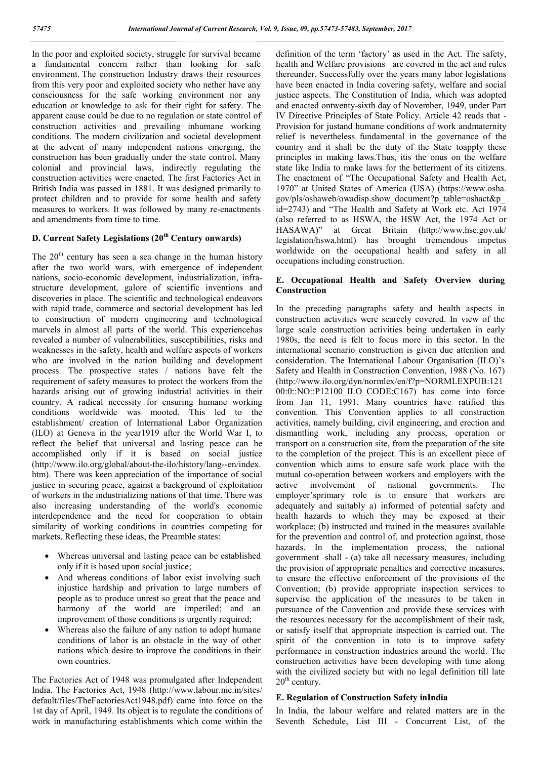In the poor and exploited society, struggle for survival became a fundamental concern rather than looking for safe environment. The construction Industry draws their resources from this very poor and exploited society who nether have any consciousness for the safe working environment nor any education or knowledge to ask for their right for safety. The apparent cause could be due to no regulation or state control of construction activities and prevailing inhumane working conditions. The modern civilization and societal development at the advent of many independent nations emerging, the construction has been gradually under the state control. Many colonial and provincial laws, indirectly regulating the construction activities were enacted. The first Factories Act in British India was passed in 1881. It was designed primarily to protect children and to provide for some health and safety measures to workers. It was followed by many re-enactments and amendments from time to time.

# **D. Current Safety Legislations (20th Century onwards)**

The  $20<sup>th</sup>$  century has seen a sea change in the human history after the two world wars, with emergence of independent nations, socio-economic development, industrialization, infrastructure development, galore of scientific inventions and discoveries in place. The scientific and technological endeavors with rapid trade, commerce and sectorial development has led to construction of modern engineering and technological marvels in almost all parts of the world. This experiencehas revealed a number of vulnerabilities, susceptibilities, risks and weaknesses in the safety, health and welfare aspects of workers who are involved in the nation building and development process. The prospective states / nations have felt the requirement of safety measures to protect the workers from the hazards arising out of growing industrial activities in their country. A radical necessity for ensuring humane working conditions worldwide was mooted. This led to the establishment/ creation of International Labor Organization (ILO) at Geneva in the year1919 after the World War I, to reflect the belief that universal and lasting peace can be accomplished only if it is based on social justice (http://www.ilo.org/global/about-the-ilo/history/lang--en/index. htm). There was keen appreciation of the importance of social justice in securing peace, against a background of exploitation of workers in the industrializing nations of that time. There was also increasing understanding of the world's economic interdependence and the need for cooperation to obtain similarity of working conditions in countries competing for markets. Reflecting these ideas, the Preamble states:

- Whereas universal and lasting peace can be established only if it is based upon social justice;
- And whereas conditions of labor exist involving such injustice hardship and privation to large numbers of people as to produce unrest so great that the peace and harmony of the world are imperiled; and an improvement of those conditions is urgently required;
- Whereas also the failure of any nation to adopt humane conditions of labor is an obstacle in the way of other nations which desire to improve the conditions in their own countries.

The Factories Act of 1948 was promulgated after Independent India. The Factories Act, 1948 (http://www.labour.nic.in/sites/ default/files/TheFactoriesAct1948.pdf) came into force on the 1st day of April, 1949. Its object is to regulate the conditions of work in manufacturing establishments which come within the

definition of the term 'factory' as used in the Act. The safety, health and Welfare provisions are covered in the act and rules thereunder. Successfully over the years many labor legislations have been enacted in India covering safety, welfare and social justice aspects. The Constitution of India, which was adopted and enacted ontwenty-sixth day of November, 1949, under Part IV Directive Principles of State Policy. Article 42 reads that - Provision for justand humane conditions of work andmaternity relief is nevertheless fundamental in the governance of the country and it shall be the duty of the State toapply these principles in making laws.Thus, itis the onus on the welfare state like India to make laws for the betterment of its citizens. The enactment of "The Occupational Safety and Health Act, 1970" at United States of America (USA) (https://www.osha. gov/pls/oshaweb/owadisp.show\_document?p\_table=oshact&p\_ id=2743) and "The Health and Safety at Work etc. Act 1974 (also referred to as HSWA, the HSW Act, the 1974 Act or HASAWA)" at Great Britain (http://www.hse.gov.uk/ legislation/hswa.html) has brought tremendous impetus worldwide on the occupational health and safety in all occupations including construction.

## **E. Occupational Health and Safety Overview during Construction**

In the preceding paragraphs safety and health aspects in construction activities were scarcely covered. In view of the large scale construction activities being undertaken in early 1980s, the need is felt to focus more in this sector. In the international scenario construction is given due attention and consideration. The International Labour Organisation (ILO)'s Safety and Health in Construction Convention, 1988 (No. 167) (http://www.ilo.org/dyn/normlex/en/f?p=NORMLEXPUB:121 00:0::NO::P12100\_ILO\_CODE:C167) has come into force from Jan 11, 1991. Many countries have ratified this convention. This Convention applies to all construction activities, namely building, civil engineering, and erection and dismantling work, including any process, operation or transport on a construction site, from the preparation of the site to the completion of the project. This is an excellent piece of convention which aims to ensure safe work place with the mutual co-operation between workers and employers with the active involvement of national governments. The employer'sprimary role is to ensure that workers are adequately and suitably a) informed of potential safety and health hazards to which they may be exposed at their workplace; (b) instructed and trained in the measures available for the prevention and control of, and protection against, those hazards. In the implementation process, the national government shall - (a) take all necessary measures, including the provision of appropriate penalties and corrective measures, to ensure the effective enforcement of the provisions of the Convention; (b) provide appropriate inspection services to supervise the application of the measures to be taken in pursuance of the Convention and provide these services with the resources necessary for the accomplishment of their task, or satisfy itself that appropriate inspection is carried out. The spirit of the convention in toto is to improve safety performance in construction industries around the world. The construction activities have been developing with time along with the civilized society but with no legal definition till late  $20<sup>th</sup>$  century.

### **E. Regulation of Construction Safety inIndia**

In India, the labour welfare and related matters are in the Seventh Schedule, List III - Concurrent List, of the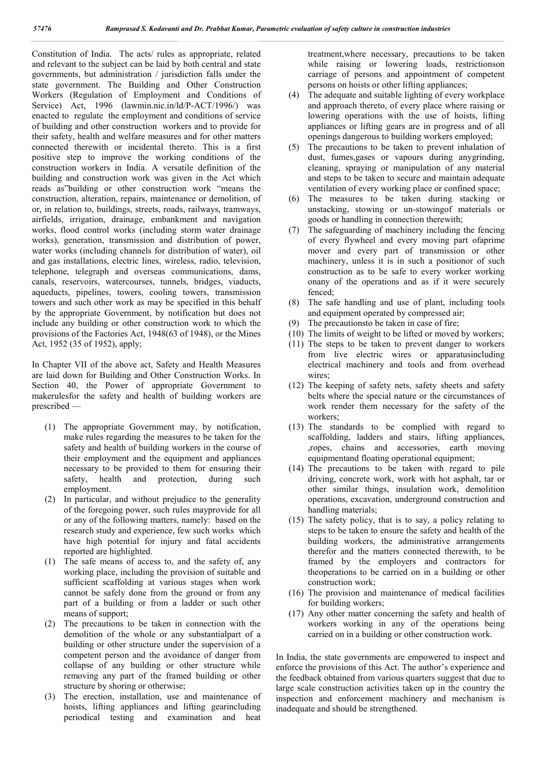Constitution of India. The acts/ rules as appropriate, related and relevant to the subject can be laid by both central and state governments, but administration / jurisdiction falls under the state government. The Building and Other Construction Workers (Regulation of Employment and Conditions of Service) Act, 1996 (lawmin.nic.in/ld/P-ACT/1996/) was enacted to regulate the employment and conditions of service of building and other construction workers and to provide for their safety, health and welfare measures and for other matters connected therewith or incidental thereto. This is a first positive step to improve the working conditions of the construction workers in India. A versatile definition of the building and construction work was given in the Act which reads as"building or other construction work "means the construction, alteration, repairs, maintenance or demolition, of or, in relation to, buildings, streets, roads, railways, tramways, airfields, irrigation, drainage, embankment and navigation works, flood control works (including storm water drainage works), generation, transmission and distribution of power, water works (including channels for distribution of water), oil and gas installations, electric lines, wireless, radio, television, telephone, telegraph and overseas communications, dams, canals, reservoirs, watercourses, tunnels, bridges, viaducts, aqueducts, pipelines, towers, cooling towers, transmission towers and such other work as may be specified in this behalf by the appropriate Government, by notification but does not include any building or other construction work to which the provisions of the Factories Act, 1948(63 of 1948), or the Mines Act, 1952 (35 of 1952), apply;

In Chapter VII of the above act, Safety and Health Measures are laid down for Building and Other Construction Works. In Section 40, the Power of appropriate Government to makerulesfor the safety and health of building workers are prescribed —

- (1) The appropriate Government may, by notification, make rules regarding the measures to be taken for the safety and health of building workers in the course of their employment and the equipment and appliances necessary to be provided to them for ensuring their safety, health and protection, during such employment.
- (2) In particular, and without prejudice to the generality of the foregoing power, such rules mayprovide for all or any of the following matters, namely: based on the research study and experience, few such works which have high potential for injury and fatal accidents reported are highlighted.
- (1) The safe means of access to, and the safety of, any working place, including the provision of suitable and sufficient scaffolding at various stages when work cannot be safely done from the ground or from any part of a building or from a ladder or such other means of support;
- (2) The precautions to be taken in connection with the demolition of the whole or any substantialpart of a building or other structure under the supervision of a competent person and the avoidance of danger from collapse of any building or other structure while removing any part of the framed building or other structure by shoring or otherwise;
- (3) The erection, installation, use and maintenance of hoists, lifting appliances and lifting gearincluding periodical testing and examination and heat

treatment,where necessary, precautions to be taken while raising or lowering loads, restrictionson carriage of persons and appointment of competent persons on hoists or other lifting appliances;

- (4) The adequate and suitable lighting of every workplace and approach thereto, of every place where raising or lowering operations with the use of hoists, lifting appliances or lifting gears are in progress and of all openings dangerous to building workers employed;
- (5) The precautions to be taken to prevent inhalation of dust, fumes,gases or vapours during anygrinding, cleaning, spraying or manipulation of any material and steps to be taken to secure and maintain adequate ventilation of every working place or confined space;
- (6) The measures to be taken during stacking or unstacking, stowing or un-stowingof materials or goods or handling in connection therewith;
- (7) The safeguarding of machinery including the fencing of every flywheel and every moving part ofaprime mover and every part of transmission or other machinery, unless it is in such a positionor of such construction as to be safe to every worker working onany of the operations and as if it were securely fenced;
- (8) The safe handling and use of plant, including tools and equipment operated by compressed air;
- (9) The precautionsto be taken in case of fire;
- (10) The limits of weight to be lifted or moved by workers;
- (11) The steps to be taken to prevent danger to workers from live electric wires or apparatusincluding electrical machinery and tools and from overhead wires:
- (12) The keeping of safety nets, safety sheets and safety belts where the special nature or the circumstances of work render them necessary for the safety of the workers;
- (13) The standards to be complied with regard to scaffolding, ladders and stairs, lifting appliances, ,ropes, chains and accessories, earth moving equipmentand floating operational equipment;
- (14) The precautions to be taken with regard to pile driving, concrete work, work with hot asphalt, tar or other similar things, insulation work, demolition operations, excavation, underground construction and handling materials;
- (15) The safety policy, that is to say, a policy relating to steps to be taken to ensure the safety and health of the building workers, the administrative arrangements therefor and the matters connected therewith, to be framed by the employers and contractors for theoperations to be carried on in a building or other construction work;
- (16) The provision and maintenance of medical facilities for building workers;
- (17) Any other matter concerning the safety and health of workers working in any of the operations being carried on in a building or other construction work.

In India, the state governments are empowered to inspect and enforce the provisions of this Act. The author's experience and the feedback obtained from various quarters suggest that due to large scale construction activities taken up in the country the inspection and enforcement machinery and mechanism is inadequate and should be strengthened.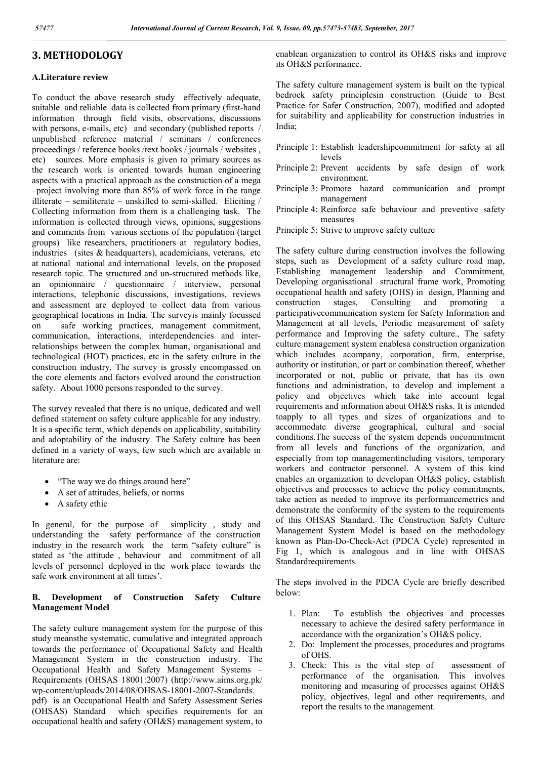# **3. METHODOLOGY**

# **A.Literature review**

To conduct the above research study effectively adequate, suitable and reliable data is collected from primary (first-hand information through field visits, observations, discussions with persons, e-mails, etc) and secondary (published reports / unpublished reference material / seminars / conferences proceedings / reference books /text books / journals / websites , etc) sources. More emphasis is given to primary sources as the research work is oriented towards human engineering aspects with a practical approach as the construction of a mega –project involving more than 85% of work force in the range illiterate – semiliterate – unskilled to semi-skilled. Eliciting / Collecting information from them is a challenging task. The information is collected through views, opinions, suggestions and comments from various sections of the population (target groups) like researchers, practitioners at regulatory bodies, industries (sites  $&$  headquarters), academicians, veterans, etc. at national national and international levels, on the proposed research topic. The structured and un-structured methods like, an opinionnaire / questionnaire / interview, personal interactions, telephonic discussions, investigations, reviews and assessment are deployed to collect data from various geographical locations in India. The surveyis mainly focussed on safe working practices, management commitment, communication, interactions, interdependencies and interrelationships between the complex human, organisational and technological (HOT) practices, etc in the safety culture in the construction industry. The survey is grossly encompassed on the core elements and factors evolved around the construction safety. About 1000 persons responded to the survey.

The survey revealed that there is no unique, dedicated and well defined statement on safety culture applicable for any industry. It is a specific term, which depends on applicability, suitability and adoptability of the industry. The Safety culture has been defined in a variety of ways, few such which are available in literature are:

- "The way we do things around here"
- A set of attitudes, beliefs, or norms
- A safety ethic

In general, for the purpose of simplicity , study and understanding the safety performance of the construction industry in the research work the term "safety culture" is stated as 'the attitude , behaviour and commitment of all levels of personnel deployed in the work place towards the safe work environment at all times'.

# **B. Development of Construction Safety Culture Management Model**

The safety culture management system for the purpose of this study meansthe systematic, cumulative and integrated approach towards the performance of Occupational Safety and Health Management System in the construction industry. The Occupational Health and Safety Management Systems – Requirements (OHSAS 18001:2007) (http://www.aims.org.pk/ wp-content/uploads/2014/08/OHSAS-18001-2007-Standards. pdf) is an Occupational Health and Safety Assessment Series (OHSAS) Standard which specifies requirements for an occupational health and safety (OH&S) management system, to enablean organization to control its OH&S risks and improve its OH&S performance.

The safety culture management system is built on the typical bedrock safety principlesin construction (Guide to Best Practice for Safer Construction, 2007), modified and adopted for suitability and applicability for construction industries in India;

- Principle 1: Establish leadershipcommitment for safety at all levels
- Principle 2: Prevent accidents by safe design of work environment.
- Principle 3: Promote hazard communication and prompt management
- Principle 4: Reinforce safe behaviour and preventive safety measures
- Principle 5: Strive to improve safety culture

The safety culture during construction involves the following steps, such as Development of a safety culture road map, Establishing management leadership and Commitment, Developing organisational structural frame work, Promoting occupational health and safety (OHS) in design, Planning and construction stages, Consulting and promoting a participativecommunication system for Safety Information and Management at all levels, Periodic measurement of safety performance and Improving the safety culture., The safety culture management system enablesa construction organization which includes acompany, corporation, firm, enterprise, authority or institution, or part or combination thereof, whether incorporated or not, public or private, that has its own functions and administration, to develop and implement a policy and objectives which take into account legal requirements and information about OH&S risks. It is intended toapply to all types and sizes of organizations and to accommodate diverse geographical, cultural and social conditions.The success of the system depends oncommitment from all levels and functions of the organization, and especially from top managementincluding visitors, temporary workers and contractor personnel. A system of this kind enables an organization to developan OH&S policy, establish objectives and processes to achieve the policy commitments, take action as needed to improve its performancemetrics and demonstrate the conformity of the system to the requirements of this OHSAS Standard. The Construction Safety Culture Management System Model is based on the methodology known as Plan-Do-Check-Act (PDCA Cycle) represented in Fig 1, which is analogous and in line with OHSAS Standardrequirements.

The steps involved in the PDCA Cycle are briefly described below:

- 1. Plan: To establish the objectives and processes necessary to achieve the desired safety performance in accordance with the organization's OH&S policy.
- 2. Do: Implement the processes, procedures and programs of OHS.
- 3. Check: This is the vital step of assessment of performance of the organisation. This involves monitoring and measuring of processes against OH&S policy, objectives, legal and other requirements, and report the results to the management.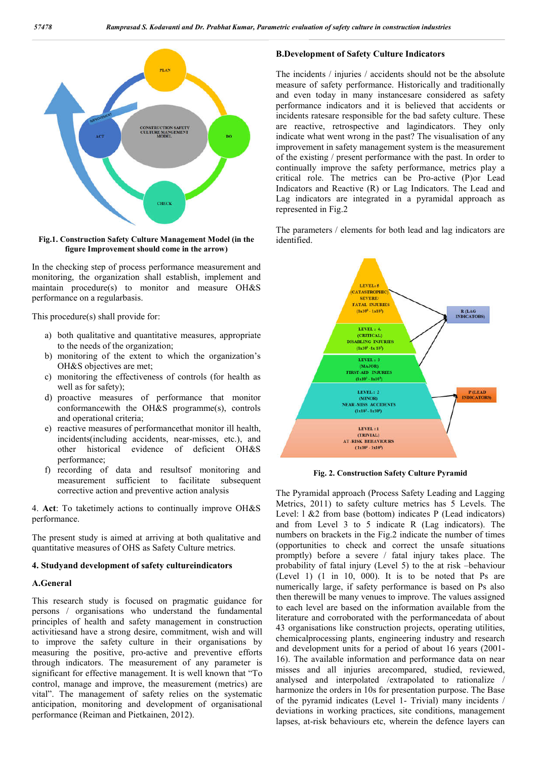

**Fig.1. Construction Safety Culture Management Model (in the figure Improvement should come in the arrow)**

In the checking step of process performance measurement and monitoring, the organization shall establish, implement and maintain procedure(s) to monitor and measure OH&S performance on a regularbasis.

This procedure(s) shall provide for:

- a) both qualitative and quantitative measures, appropriate to the needs of the organization;
- b) monitoring of the extent to which the organization's OH&S objectives are met;
- c) monitoring the effectiveness of controls (for health as well as for safety);
- d) proactive measures of performance that monitor conformancewith the OH&S programme(s), controls and operational criteria;
- e) reactive measures of performancethat monitor ill health, incidents(including accidents, near-misses, etc.), and other historical evidence of deficient OH&S performance;
- f) recording of data and resultsof monitoring and measurement sufficient to facilitate subsequent corrective action and preventive action analysis

4. **Act**: To taketimely actions to continually improve OH&S performance.

The present study is aimed at arriving at both qualitative and quantitative measures of OHS as Safety Culture metrics.

### **4. Studyand development of safety cultureindicators**

#### **A.General**

This research study is focused on pragmatic guidance for persons / organisations who understand the fundamental principles of health and safety management in construction activitiesand have a strong desire, commitment, wish and will to improve the safety culture in their organisations by measuring the positive, pro-active and preventive efforts through indicators. The measurement of any parameter is significant for effective management. It is well known that "To control, manage and improve, the measurement (metrics) are vital". The management of safety relies on the systematic anticipation, monitoring and development of organisational performance (Reiman and Pietkainen, 2012).

### **B.Development of Safety Culture Indicators**

The incidents / injuries / accidents should not be the absolute measure of safety performance. Historically and traditionally and even today in many instancesare considered as safety performance indicators and it is believed that accidents or incidents ratesare responsible for the bad safety culture. These are reactive, retrospective and lagindicators. They only indicate what went wrong in the past? The visualisation of any improvement in safety management system is the measurement of the existing / present performance with the past. In order to continually improve the safety performance, metrics play a critical role. The metrics can be Pro-active (P)or Lead Indicators and Reactive (R) or Lag Indicators. The Lead and Lag indicators are integrated in a pyramidal approach as represented in Fig.2

The parameters / elements for both lead and lag indicators are identified.



**Fig. 2. Construction Safety Culture Pyramid**

The Pyramidal approach (Process Safety Leading and Lagging Metrics, 2011) to safety culture metrics has 5 Levels. The Level: 1 &2 from base (bottom) indicates P (Lead indicators) and from Level 3 to 5 indicate R (Lag indicators). The numbers on brackets in the Fig.2 indicate the number of times (opportunities to check and correct the unsafe situations promptly) before a severe / fatal injury takes place. The probability of fatal injury (Level 5) to the at risk –behaviour (Level 1) (1 in 10, 000). It is to be noted that Ps are numerically large, if safety performance is based on Ps also then therewill be many venues to improve. The values assigned to each level are based on the information available from the literature and corroborated with the performancedata of about 43 organisations like construction projects, operating utilities, chemicalprocessing plants, engineering industry and research and development units for a period of about 16 years (2001- 16). The available information and performance data on near misses and all injuries arecompared, studied, reviewed, analysed and interpolated /extrapolated to rationalize / harmonize the orders in 10s for presentation purpose. The Base of the pyramid indicates (Level 1- Trivial) many incidents / deviations in working practices, site conditions, management lapses, at-risk behaviours etc, wherein the defence layers can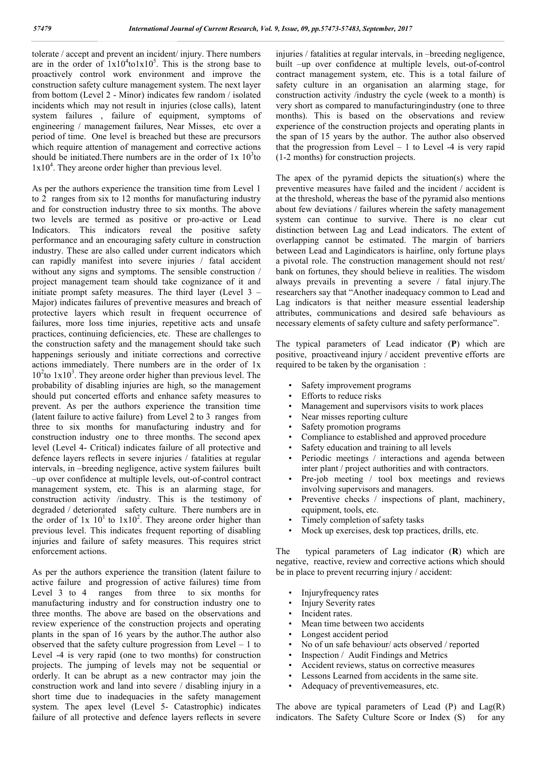tolerate / accept and prevent an incident/ injury. There numbers are in the order of  $1x10^4$ to1x10<sup>5</sup>. This is the strong base to proactively control work environment and improve the construction safety culture management system. The next layer from bottom (Level 2 - Minor) indicates few random / isolated incidents which may not result in injuries (close calls), latent system failures , failure of equipment, symptoms of engineering / management failures, Near Misses, etc over a period of time. One level is breached but these are precursors which require attention of management and corrective actions should be initiated. There numbers are in the order of  $1x \frac{10^3}{10}$  $1x10<sup>4</sup>$ . They areone order higher than previous level.

As per the authors experience the transition time from Level 1 to 2 ranges from six to 12 months for manufacturing industry and for construction industry three to six months. The above two levels are termed as positive or pro-active or Lead Indicators. This indicators reveal the positive safety performance and an encouraging safety culture in construction industry. These are also called under current indicators which can rapidly manifest into severe injuries / fatal accident without any signs and symptoms. The sensible construction / project management team should take cognizance of it and initiate prompt safety measures. The third layer (Level 3 – Major) indicates failures of preventive measures and breach of protective layers which result in frequent occurrence of failures, more loss time injuries, repetitive acts and unsafe practices, continuing deficiencies, etc. These are challenges to the construction safety and the management should take such happenings seriously and initiate corrections and corrective actions immediately. There numbers are in the order of 1x  $10<sup>2</sup>$  to  $1x10<sup>3</sup>$ . They areone order higher than previous level. The probability of disabling injuries are high, so the management should put concerted efforts and enhance safety measures to prevent. As per the authors experience the transition time (latent failure to active failure) from Level 2 to 3 ranges from three to six months for manufacturing industry and for construction industry one to three months. The second apex level (Level 4- Critical) indicates failure of all protective and defence layers reflects in severe injuries / fatalities at regular intervals, in –breeding negligence, active system failures built –up over confidence at multiple levels, out-of-control contract management system, etc. This is an alarming stage, for construction activity /industry. This is the testimony of degraded / deteriorated safety culture. There numbers are in the order of  $1x \times 10^{1}$  to  $1x10^{2}$ . They areone order higher than previous level. This indicates frequent reporting of disabling injuries and failure of safety measures. This requires strict enforcement actions.

As per the authors experience the transition (latent failure to active failure and progression of active failures) time from Level 3 to 4 ranges from three to six months for manufacturing industry and for construction industry one to three months. The above are based on the observations and review experience of the construction projects and operating plants in the span of 16 years by the author.The author also observed that the safety culture progression from Level  $-1$  to Level -4 is very rapid (one to two months) for construction projects. The jumping of levels may not be sequential or orderly. It can be abrupt as a new contractor may join the construction work and land into severe / disabling injury in a short time due to inadequacies in the safety management system. The apex level (Level 5- Catastrophic) indicates failure of all protective and defence layers reflects in severe injuries / fatalities at regular intervals, in –breeding negligence, built –up over confidence at multiple levels, out-of-control contract management system, etc. This is a total failure of safety culture in an organisation an alarming stage, for construction activity /industry the cycle (week to a month) is very short as compared to manufacturingindustry (one to three months). This is based on the observations and review experience of the construction projects and operating plants in the span of 15 years by the author. The author also observed that the progression from Level  $-1$  to Level  $-4$  is very rapid (1-2 months) for construction projects.

The apex of the pyramid depicts the situation(s) where the preventive measures have failed and the incident / accident is at the threshold, whereas the base of the pyramid also mentions about few deviations / failures wherein the safety management system can continue to survive. There is no clear cut distinction between Lag and Lead indicators. The extent of overlapping cannot be estimated. The margin of barriers between Lead and Lagindicators is hairline, only fortune plays a pivotal role. The construction management should not rest/ bank on fortunes, they should believe in realities. The wisdom always prevails in preventing a severe / fatal injury.The researchers say that "Another inadequacy common to Lead and Lag indicators is that neither measure essential leadership attributes, communications and desired safe behaviours as necessary elements of safety culture and safety performance".

The typical parameters of Lead indicator (**P**) which are positive, proactiveand injury / accident preventive efforts are required to be taken by the organisation :

- Safety improvement programs
- Efforts to reduce risks
- Management and supervisors visits to work places
- Near misses reporting culture
- Safety promotion programs
- Compliance to established and approved procedure
- Safety education and training to all levels
- Periodic meetings / interactions and agenda between inter plant / project authorities and with contractors.
- Pre-job meeting / tool box meetings and reviews involving supervisors and managers.
- Preventive checks / inspections of plant, machinery, equipment, tools, etc.
- Timely completion of safety tasks
- Mock up exercises, desk top practices, drills, etc.

The typical parameters of Lag indicator (**R**) which are negative, reactive, review and corrective actions which should be in place to prevent recurring injury / accident:

- Injuryfrequency rates
- Injury Severity rates
- Incident rates.
- Mean time between two accidents
- Longest accident period
- No of un safe behaviour/ acts observed / reported
- Inspection / Audit Findings and Metrics
- Accident reviews, status on corrective measures
- Lessons Learned from accidents in the same site.
- Adequacy of preventivemeasures, etc.

The above are typical parameters of Lead  $(P)$  and  $Lag(R)$ indicators. The Safety Culture Score or Index (S) for any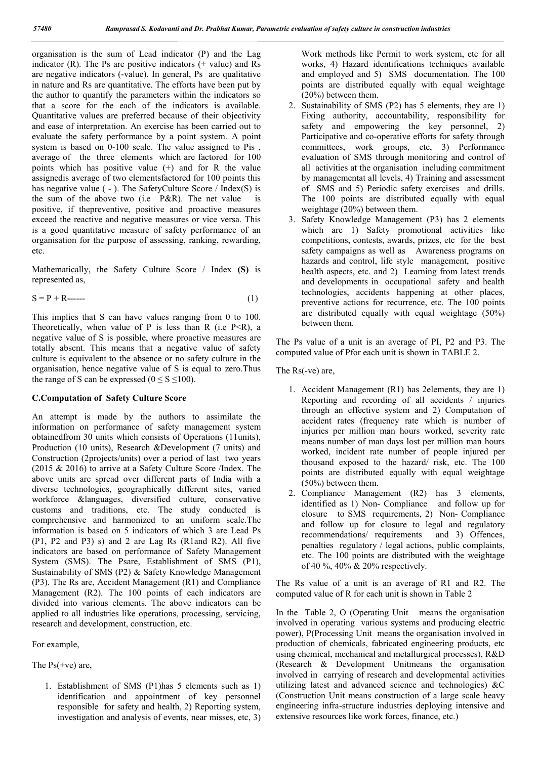organisation is the sum of Lead indicator (P) and the Lag indicator  $(R)$ . The Ps are positive indicators  $(+)$  value) and Rs are negative indicators (-value). In general, Ps are qualitative in nature and Rs are quantitative. The efforts have been put by the author to quantify the parameters within the indicators so that a score for the each of the indicators is available. Quantitative values are preferred because of their objectivity and ease of interpretation. An exercise has been carried out to evaluate the safety performance by a point system. A point system is based on 0-100 scale. The value assigned to Pis , average of the three elements which are factored for 100 points which has positive value (+) and for R the value assignedis average of two elementsfactored for 100 points this has negative value ( - ). The SafetyCulture Score / Index(S) is the sum of the above two (i.e P&R). The net value is positive, if thepreventive, positive and proactive measures exceed the reactive and negative measures or vice versa. This is a good quantitative measure of safety performance of an organisation for the purpose of assessing, ranking, rewarding, etc.

Mathematically, the Safety Culture Score / Index **(S)** is represented as,

$$
S = P + R \dots \tag{1}
$$

This implies that S can have values ranging from 0 to 100. Theoretically, when value of P is less than R (i.e P $\leq$ R), a negative value of S is possible, where proactive measures are totally absent. This means that a negative value of safety culture is equivalent to the absence or no safety culture in the organisation, hence negative value of S is equal to zero.Thus the range of S can be expressed ( $0 \le S \le 100$ ).

#### **C.Computation of Safety Culture Score**

An attempt is made by the authors to assimilate the information on performance of safety management system obtainedfrom 30 units which consists of Operations (11units), Production (10 units), Research &Development (7 units) and Construction (2projects/units) over a period of last two years (2015 & 2016) to arrive at a Safety Culture Score /Index. The above units are spread over different parts of India with a diverse technologies, geographically different sites, varied workforce &languages, diversified culture, conservative customs and traditions, etc. The study conducted is comprehensive and harmonized to an uniform scale.The information is based on 5 indicators of which 3 are Lead Ps (P1, P2 and P3) s) and 2 are Lag Rs (R1and R2). All five indicators are based on performance of Safety Management System (SMS). The Psare, Establishment of SMS (P1), Sustainability of SMS (P2) & Safety Knowledge Management (P3). The Rs are, Accident Management (R1) and Compliance Management (R2). The 100 points of each indicators are divided into various elements. The above indicators can be applied to all industries like operations, processing, servicing, research and development, construction, etc.

For example,

The  $Ps$ (+ve) are,

1. Establishment of SMS (P1)has 5 elements such as 1) identification and appointment of key personnel responsible for safety and health, 2) Reporting system, investigation and analysis of events, near misses, etc, 3)

Work methods like Permit to work system, etc for all works, 4) Hazard identifications techniques available and employed and 5) SMS documentation. The 100 points are distributed equally with equal weightage (20%) between them.

- 2. Sustainability of SMS (P2) has 5 elements, they are 1) Fixing authority, accountability, responsibility for safety and empowering the key personnel, 2) Participative and co-operative efforts for safety through committees, work groups, etc, 3) Performance evaluation of SMS through monitoring and control of all activities at the organisation including commitment by managementat all levels, 4) Training and assessment of SMS and 5) Periodic safety exercises and drills. The 100 points are distributed equally with equal weightage (20%) between them.
- 3. Safety Knowledge Management (P3) has 2 elements which are 1) Safety promotional activities like competitions, contests, awards, prizes, etc for the best safety campaigns as well as Awareness programs on hazards and control, life style management, positive health aspects, etc. and 2) Learning from latest trends and developments in occupational safety and health technologies, accidents happening at other places, preventive actions for recurrence, etc. The 100 points are distributed equally with equal weightage (50%) between them.

The Ps value of a unit is an average of PI, P2 and P3. The computed value of Pfor each unit is shown in TABLE 2.

The Rs(-ve) are,

- 1. Accident Management (R1) has 2elements, they are 1) Reporting and recording of all accidents / injuries through an effective system and 2) Computation of accident rates (frequency rate which is number of injuries per million man hours worked, severity rate means number of man days lost per million man hours worked, incident rate number of people injured per thousand exposed to the hazard/ risk, etc. The 100 points are distributed equally with equal weightage (50%) between them.
- 2. Compliance Management (R2) has 3 elements, identified as 1) Non- Compliance and follow up for closure to SMS requirements, 2) Non- Compliance and follow up for closure to legal and regulatory recommendations/ requirements and 3) Offences, penalties regulatory / legal actions, public complaints, etc. The 100 points are distributed with the weightage of 40 %, 40% & 20% respectively.

The Rs value of a unit is an average of R1 and R2. The computed value of R for each unit is shown in Table 2

In the Table 2, O (Operating Unit means the organisation involved in operating various systems and producing electric power), P(Processing Unit means the organisation involved in production of chemicals, fabricated engineering products, etc using chemical, mechanical and metallurgical processes), R&D (Research & Development Unitmeans the organisation involved in carrying of research and developmental activities utilizing latest and advanced science and technologies) &C (Construction Unit means construction of a large scale heavy engineering infra-structure industries deploying intensive and extensive resources like work forces, finance, etc.)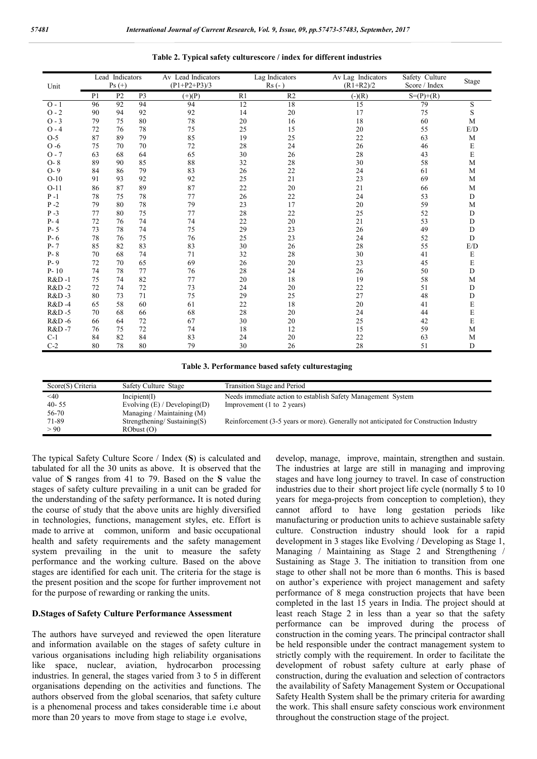| Lead Indicators<br>$Ps (+)$<br>Unit |                |                | Av Lead Indicators<br>$(P1+P2+P3)/3$ |          | Lag Indicators<br>$Rs (-)$ | Av Lag Indicators<br>$(R1 + R2)/2$ | Safety Culture<br>Score / Index | Stage       |             |
|-------------------------------------|----------------|----------------|--------------------------------------|----------|----------------------------|------------------------------------|---------------------------------|-------------|-------------|
|                                     | P <sub>1</sub> | P <sub>2</sub> | P <sub>3</sub>                       | $(+)(P)$ | R1                         | R <sub>2</sub>                     | $\overline{(\cdot)(R)}$         | $S=(P)+(R)$ |             |
| $O - 1$                             | 96             | 92             | 94                                   | 94       | 12                         | 18                                 | 15                              | 79          | S           |
| $O - 2$                             | 90             | 94             | 92                                   | 92       | 14                         | 20                                 | 17                              | 75          | S           |
| $O - 3$                             | 79             | 75             | 80                                   | 78       | 20                         | 16                                 | 18                              | 60          | M           |
| $O - 4$                             | 72             | 76             | 78                                   | 75       | 25                         | 15                                 | 20                              | 55          | E/D         |
| $O-5$                               | 87             | 89             | 79                                   | 85       | 19                         | 25                                 | 22                              | 63          | M           |
| $O - 6$                             | 75             | 70             | 70                                   | 72       | 28                         | 24                                 | 26                              | 46          | E           |
| $O - 7$                             | 63             | 68             | 64                                   | 65       | 30                         | 26                                 | 28                              | 43          | E           |
| $O-8$                               | 89             | 90             | 85                                   | 88       | 32                         | 28                                 | 30                              | 58          | M           |
| $O-9$                               | 84             | 86             | 79                                   | 83       | 26                         | 22                                 | 24                              | 61          | M           |
| $O-10$                              | 91             | 93             | 92                                   | 92       | 25                         | 21                                 | 23                              | 69          | M           |
| $O-11$                              | 86             | 87             | 89                                   | 87       | 22                         | 20                                 | 21                              | 66          | M           |
| $P-1$                               | 78             | 75             | 78                                   | 77       | 26                         | 22                                 | 24                              | 53          | D           |
| $P - 2$                             | 79             | 80             | 78                                   | 79       | 23                         | 17                                 | 20                              | 59          | M           |
| $P - 3$                             | 77             | 80             | 75                                   | 77       | 28                         | 22                                 | 25                              | 52          | D           |
| $P - 4$                             | 72             | 76             | 74                                   | 74       | 22                         | 20                                 | 21                              | 53          | D           |
| $P - 5$                             | 73             | 78             | 74                                   | 75       | 29                         | 23                                 | 26                              | 49          | D           |
| $P - 6$                             | 78             | 76             | 75                                   | 76       | 25                         | 23                                 | 24                              | 52          | $\mathbf D$ |
| $P - 7$                             | 85             | 82             | 83                                   | 83       | 30                         | 26                                 | 28                              | 55          | E/D         |
| $P - 8$                             | 70             | 68             | 74                                   | 71       | 32                         | 28                                 | 30                              | 41          | E           |
| $P - 9$                             | 72             | 70             | 65                                   | 69       | 26                         | 20                                 | 23                              | 45          | E           |
| $P-10$                              | 74             | 78             | 77                                   | 76       | 28                         | 24                                 | 26                              | 50          | $\mathbf D$ |
| <b>R&amp;D-1</b>                    | 75             | 74             | 82                                   | 77       | 20                         | 18                                 | 19                              | 58          | M           |
| R&D-2                               | 72             | 74             | 72                                   | 73       | 24                         | 20                                 | 22                              | 51          | $\mathbf D$ |
| R&D-3                               | 80             | 73             | 71                                   | 75       | 29                         | 25                                 | 27                              | 48          | $\mathbf D$ |
| R&D-4                               | 65             | 58             | 60                                   | 61       | 22                         | 18                                 | 20                              | 41          | E           |
| R&D-5                               | 70             | 68             | 66                                   | 68       | 28                         | 20                                 | 24                              | 44          | E           |
| R&D-6                               | 66             | 64             | 72                                   | 67       | 30                         | 20                                 | 25                              | 42          | E           |
| R&D-7                               | 76             | 75             | 72                                   | 74       | 18                         | 12                                 | 15                              | 59          | M           |
| $C-1$                               | 84             | 82             | 84                                   | 83       | 24                         | 20                                 | 22                              | 63          | M           |
| $C-2$                               | 80             | 78             | 80                                   | 79       | 30                         | 26                                 | 28                              | 51          | D           |

#### **Table 2. Typical safety culturescore / index for different industries**

**Table 3. Performance based safety culturestaging**

| Score(S) Criteria | Safety Culture Stage              | Transition Stage and Period                                                            |
|-------------------|-----------------------------------|----------------------------------------------------------------------------------------|
| $<$ 40            | Incipient(I)                      | Needs immediate action to establish Safety Management System                           |
| $40 - 55$         | Evolving $(E)$ / Developing $(D)$ | Improvement $(1 \text{ to } 2 \text{ years})$                                          |
| 56-70             | Managing / Maintaining $(M)$      |                                                                                        |
| 71-89             | Strengthening/Sustaining $(S)$    | Reinforcement (3-5 years or more). Generally not anticipated for Construction Industry |
| > 90              | RObust (O)                        |                                                                                        |

The typical Safety Culture Score / Index (**S**) is calculated and tabulated for all the 30 units as above. It is observed that the value of **S** ranges from 41 to 79. Based on the **S** value the stages of safety culture prevailing in a unit can be graded for the understanding of the safety performance**.** It is noted during the course of study that the above units are highly diversified in technologies, functions, management styles, etc. Effort is made to arrive at common, uniform and basic occupational health and safety requirements and the safety management system prevailing in the unit to measure the safety performance and the working culture. Based on the above stages are identified for each unit. The criteria for the stage is the present position and the scope for further improvement not for the purpose of rewarding or ranking the units.

#### **D.Stages of Safety Culture Performance Assessment**

The authors have surveyed and reviewed the open literature and information available on the stages of safety culture in various organisations including high reliability organisations like space, nuclear, aviation, hydrocarbon processing industries. In general, the stages varied from 3 to 5 in different organisations depending on the activities and functions. The authors observed from the global scenarios, that safety culture is a phenomenal process and takes considerable time i.e about more than 20 years to move from stage to stage i.e evolve,

develop, manage, improve, maintain, strengthen and sustain. The industries at large are still in managing and improving stages and have long journey to travel. In case of construction industries due to their short project life cycle (normally 5 to 10 years for mega-projects from conception to completion), they cannot afford to have long gestation periods like manufacturing or production units to achieve sustainable safety culture. Construction industry should look for a rapid development in 3 stages like Evolving / Developing as Stage 1, Managing / Maintaining as Stage 2 and Strengthening / Sustaining as Stage 3. The initiation to transition from one stage to other shall not be more than 6 months. This is based on author's experience with project management and safety performance of 8 mega construction projects that have been completed in the last 15 years in India. The project should at least reach Stage 2 in less than a year so that the safety performance can be improved during the process of construction in the coming years. The principal contractor shall be held responsible under the contract management system to strictly comply with the requirement. In order to facilitate the development of robust safety culture at early phase of construction, during the evaluation and selection of contractors the availability of Safety Management System or Occupational Safety Health System shall be the primary criteria for awarding the work. This shall ensure safety conscious work environment throughout the construction stage of the project.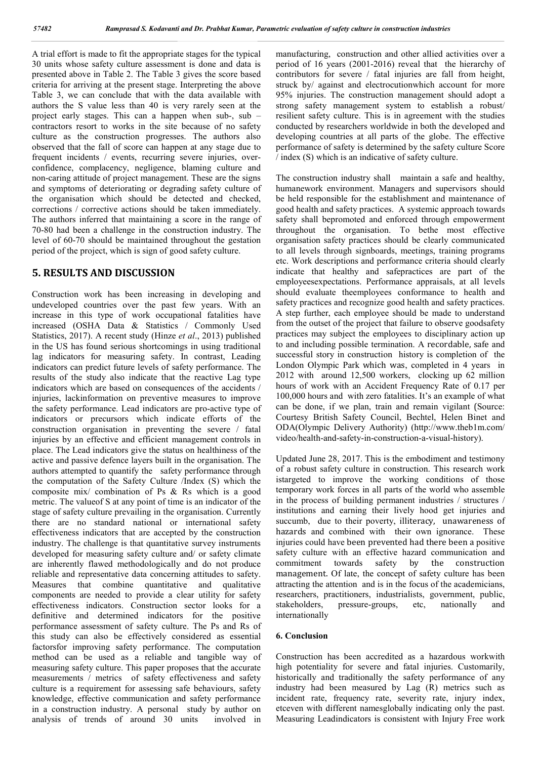A trial effort is made to fit the appropriate stages for the typical 30 units whose safety culture assessment is done and data is presented above in Table 2. The Table 3 gives the score based criteria for arriving at the present stage. Interpreting the above Table 3, we can conclude that with the data available with authors the S value less than 40 is very rarely seen at the project early stages. This can a happen when sub-, sub – contractors resort to works in the site because of no safety culture as the construction progresses. The authors also observed that the fall of score can happen at any stage due to frequent incidents / events, recurring severe injuries, overconfidence, complacency, negligence, blaming culture and non-caring attitude of project management. These are the signs and symptoms of deteriorating or degrading safety culture of the organisation which should be detected and checked, corrections / corrective actions should be taken immediately. The authors inferred that maintaining a score in the range of 70-80 had been a challenge in the construction industry. The level of 60-70 should be maintained throughout the gestation period of the project, which is sign of good safety culture.

# **5. RESULTS AND DISCUSSION**

Construction work has been increasing in developing and undeveloped countries over the past few years. With an increase in this type of work occupational fatalities have increased (OSHA Data & Statistics / Commonly Used Statistics, 2017). A recent study (Hinze *et al*., 2013) published in the US has found serious shortcomings in using traditional lag indicators for measuring safety. In contrast, Leading indicators can predict future levels of safety performance. The results of the study also indicate that the reactive Lag type indicators which are based on consequences of the accidents / injuries, lackinformation on preventive measures to improve the safety performance. Lead indicators are pro-active type of indicators or precursors which indicate efforts of the construction organisation in preventing the severe / fatal injuries by an effective and efficient management controls in place. The Lead indicators give the status on healthiness of the active and passive defence layers built in the organisation. The authors attempted to quantify the safety performance through the computation of the Safety Culture /Index (S) which the composite mix/ combination of Ps & Rs which is a good metric. The valueof S at any point of time is an indicator of the stage of safety culture prevailing in the organisation. Currently there are no standard national or international safety effectiveness indicators that are accepted by the construction industry. The challenge is that quantitative survey instruments developed for measuring safety culture and/ or safety climate are inherently flawed methodologically and do not produce reliable and representative data concerning attitudes to safety. Measures that combine quantitative and qualitative components are needed to provide a clear utility for safety effectiveness indicators. Construction sector looks for a definitive and determined indicators for the positive performance assessment of safety culture. The Ps and Rs of this study can also be effectively considered as essential factorsfor improving safety performance. The computation method can be used as a reliable and tangible way of measuring safety culture. This paper proposes that the accurate measurements / metrics of safety effectiveness and safety culture is a requirement for assessing safe behaviours, safety knowledge, effective communication and safety performance in a construction industry. A personal study by author on analysis of trends of around 30 units involved in

manufacturing, construction and other allied activities over a period of 16 years (2001-2016) reveal that the hierarchy of contributors for severe / fatal injuries are fall from height, struck by/ against and electrocutionwhich account for more 95% injuries. The construction management should adopt a strong safety management system to establish a robust/ resilient safety culture. This is in agreement with the studies conducted by researchers worldwide in both the developed and developing countries at all parts of the globe. The effective performance of safety is determined by the safety culture Score / index (S) which is an indicative of safety culture.

The construction industry shall maintain a safe and healthy, humanework environment. Managers and supervisors should be held responsible for the establishment and maintenance of good health and safety practices. A systemic approach towards safety shall bepromoted and enforced through empowerment throughout the organisation. To bethe most effective organisation safety practices should be clearly communicated to all levels through signboards, meetings, training programs etc. Work descriptions and performance criteria should clearly indicate that healthy and safepractices are part of the employeesexpectations. Performance appraisals, at all levels should evaluate theemployees conformance to health and safety practices and recognize good health and safety practices. A step further, each employee should be made to understand from the outset of the project that failure to observe goodsafety practices may subject the employees to disciplinary action up to and including possible termination. A recordable, safe and successful story in construction history is completion of the London Olympic Park which was, completed in 4 years in 2012 with around 12,500 workers, clocking up 62 million hours of work with an Accident Frequency Rate of 0.17 per 100,000 hours and with zero fatalities. It's an example of what can be done, if we plan, train and remain vigilant (Source: Courtesy British Safety Council, Bechtel, Helen Binet and ODA(Olympic Delivery Authority) (http://www.theb1m.com/ video/health-and-safety-in-construction-a-visual-history).

Updated June 28, 2017. This is the embodiment and testimony of a robust safety culture in construction. This research work istargeted to improve the working conditions of those temporary work forces in all parts of the world who assemble in the process of building permanent industries / structures / institutions and earning their lively hood get injuries and succumb, due to their poverty, illiteracy, unawareness of hazards and combined with their own ignorance. These injuries could have been prevented had there been a positive safety culture with an effective hazard communication and commitment towards safety by the construction management. Of late, the concept of safety culture has been attracting the attention and is in the focus of the academicians, researchers, practitioners, industrialists, government, public, stakeholders, pressure-groups, etc, nationally and internationally

## **6. Conclusion**

Construction has been accredited as a hazardous workwith high potentiality for severe and fatal injuries. Customarily, historically and traditionally the safety performance of any industry had been measured by Lag (R) metrics such as incident rate, frequency rate, severity rate, injury index, etceven with different namesglobally indicating only the past. Measuring Leadindicators is consistent with Injury Free work